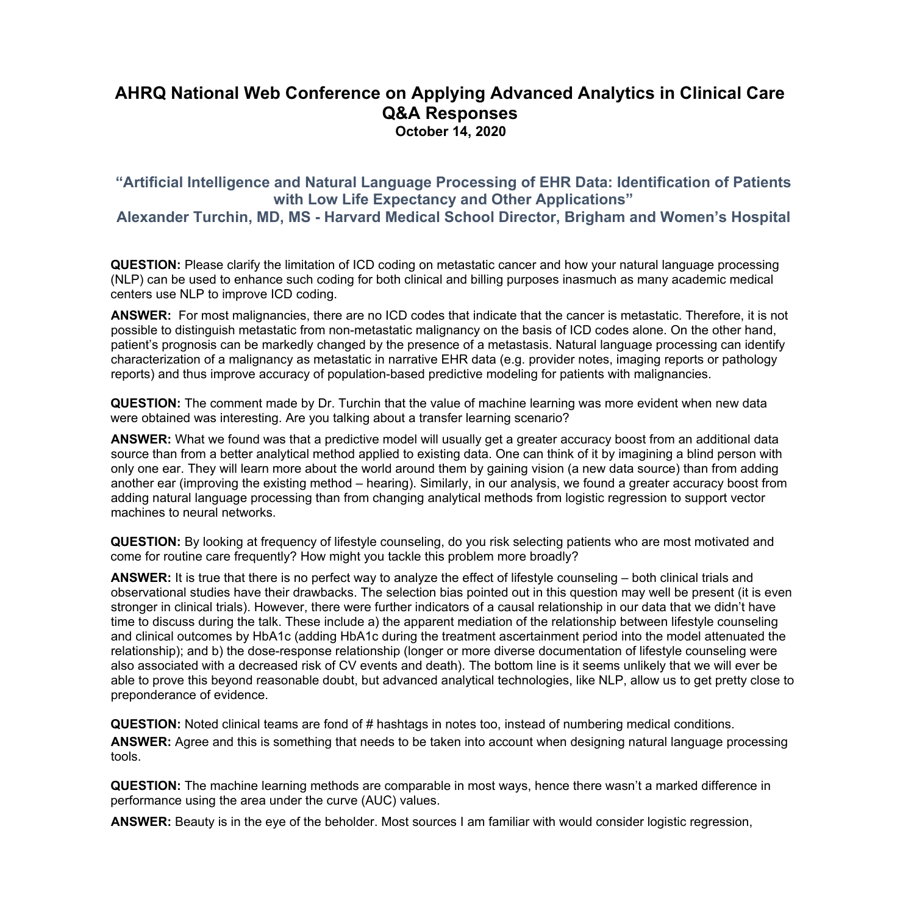## **AHRQ National Web Conference on Applying Advanced Analytics in Clinical Care Q&A Responses October 14, 2020**

## **"Artificial Intelligence and Natural Language Processing of EHR Data: Identification of Patients with Low Life Expectancy and Other Applications"**

 **Alexander Turchin, MD, MS - Harvard Medical School Director, Brigham and Women's Hospital** 

**QUESTION:** Please clarify the limitation of ICD coding on metastatic cancer and how your natural language processing (NLP) can be used to enhance such coding for both clinical and billing purposes inasmuch as many academic medical centers use NLP to improve ICD coding.

 possible to distinguish metastatic from non-metastatic malignancy on the basis of ICD codes alone. On the other hand, **ANSWER:** For most malignancies, there are no ICD codes that indicate that the cancer is metastatic. Therefore, it is not patient's prognosis can be markedly changed by the presence of a metastasis. Natural language processing can identify characterization of a malignancy as metastatic in narrative EHR data (e.g. provider notes, imaging reports or pathology reports) and thus improve accuracy of population-based predictive modeling for patients with malignancies.

**QUESTION:** The comment made by Dr. Turchin that the value of machine learning was more evident when new data were obtained was interesting. Are you talking about a transfer learning scenario?

**ANSWER:** What we found was that a predictive model will usually get a greater accuracy boost from an additional data source than from a better analytical method applied to existing data. One can think of it by imagining a blind person with only one ear. They will learn more about the world around them by gaining vision (a new data source) than from adding another ear (improving the existing method – hearing). Similarly, in our analysis, we found a greater accuracy boost from adding natural language processing than from changing analytical methods from logistic regression to support vector machines to neural networks.

**QUESTION:** By looking at frequency of lifestyle counseling, do you risk selecting patients who are most motivated and come for routine care frequently? How might you tackle this problem more broadly?

 preponderance of evidence. **ANSWER:** It is true that there is no perfect way to analyze the effect of lifestyle counseling – both clinical trials and observational studies have their drawbacks. The selection bias pointed out in this question may well be present (it is even stronger in clinical trials). However, there were further indicators of a causal relationship in our data that we didn't have time to discuss during the talk. These include a) the apparent mediation of the relationship between lifestyle counseling and clinical outcomes by HbA1c (adding HbA1c during the treatment ascertainment period into the model attenuated the relationship); and b) the dose-response relationship (longer or more diverse documentation of lifestyle counseling were also associated with a decreased risk of CV events and death). The bottom line is it seems unlikely that we will ever be able to prove this beyond reasonable doubt, but advanced analytical technologies, like NLP, allow us to get pretty close to

**QUESTION:** Noted clinical teams are fond of # hashtags in notes too, instead of numbering medical conditions. **ANSWER:** Agree and this is something that needs to be taken into account when designing natural language processing tools.

**QUESTION:** The machine learning methods are comparable in most ways, hence there wasn't a marked difference in performance using the area under the curve (AUC) values.

**ANSWER:** Beauty is in the eye of the beholder. Most sources I am familiar with would consider logistic regression,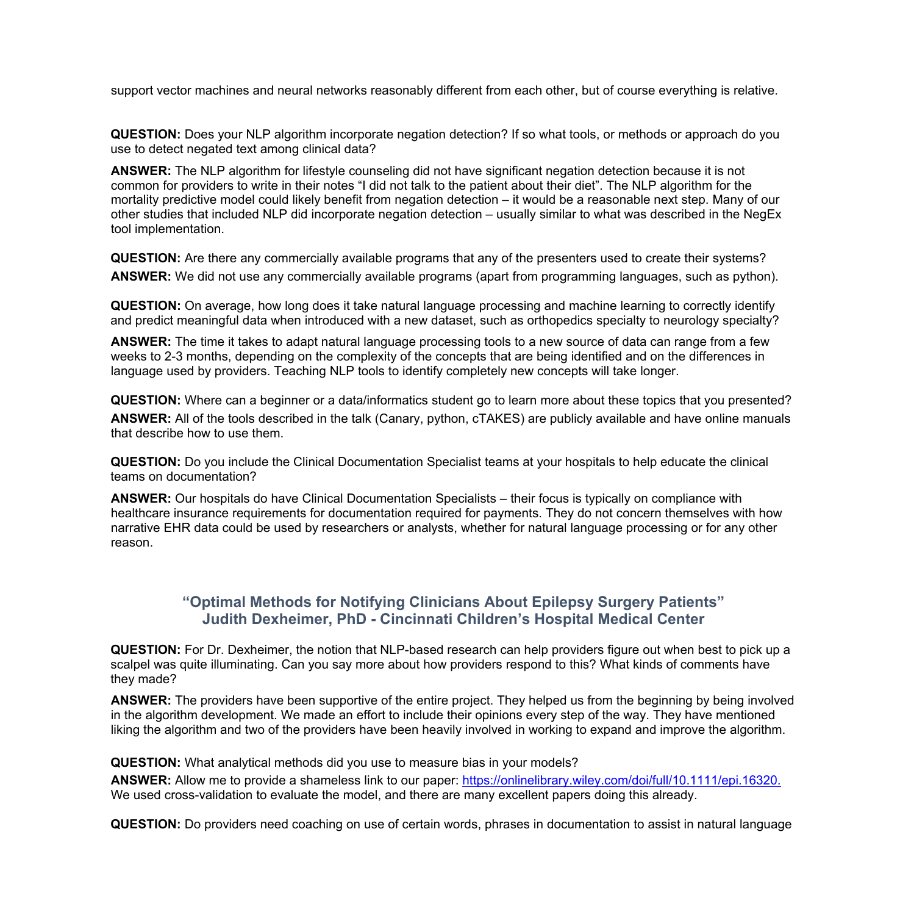support vector machines and neural networks reasonably different from each other, but of course everything is relative.

**QUESTION:** Does your NLP algorithm incorporate negation detection? If so what tools, or methods or approach do you use to detect negated text among clinical data?

**ANSWER:** The NLP algorithm for lifestyle counseling did not have significant negation detection because it is not common for providers to write in their notes "I did not talk to the patient about their diet". The NLP algorithm for the mortality predictive model could likely benefit from negation detection – it would be a reasonable next step. Many of our other studies that included NLP did incorporate negation detection – usually similar to what was described in the NegEx tool implementation.

 **ANSWER:** We did not use any commercially available programs (apart from programming languages, such as python). **QUESTION:** Are there any commercially available programs that any of the presenters used to create their systems?

**QUESTION:** On average, how long does it take natural language processing and machine learning to correctly identify and predict meaningful data when introduced with a new dataset, such as orthopedics specialty to neurology specialty?

**ANSWER:** The time it takes to adapt natural language processing tools to a new source of data can range from a few weeks to 2-3 months, depending on the complexity of the concepts that are being identified and on the differences in language used by providers. Teaching NLP tools to identify completely new concepts will take longer.

**QUESTION:** Where can a beginner or a data/informatics student go to learn more about these topics that you presented? **ANSWER:** All of the tools described in the talk (Canary, python, cTAKES) are publicly available and have online manuals that describe how to use them.

**QUESTION:** Do you include the Clinical Documentation Specialist teams at your hospitals to help educate the clinical teams on documentation?

**ANSWER:** Our hospitals do have Clinical Documentation Specialists – their focus is typically on compliance with healthcare insurance requirements for documentation required for payments. They do not concern themselves with how narrative EHR data could be used by researchers or analysts, whether for natural language processing or for any other reason.

## **"Optimal Methods for Notifying Clinicians About Epilepsy Surgery Patients" Judith Dexheimer, PhD - Cincinnati Children's Hospital Medical Center**

**QUESTION:** For Dr. Dexheimer, the notion that NLP-based research can help providers figure out when best to pick up a scalpel was quite illuminating. Can you say more about how providers respond to this? What kinds of comments have they made?

**ANSWER:** The providers have been supportive of the entire project. They helped us from the beginning by being involved in the algorithm development. We made an effort to include their opinions every step of the way. They have mentioned liking the algorithm and two of the providers have been heavily involved in working to expand and improve the algorithm.

**QUESTION:** What analytical methods did you use to measure bias in your models?

**ANSWER:** Allow me to provide a shameless link to our paper: [https://onlinelibrary.wiley.com/doi/full/10.1111/epi.16320.](https://onlinelibrary.wiley.com/doi/full/10.1111/epi.16320) We used cross-validation to evaluate the model, and there are many excellent papers doing this already.

**QUESTION:** Do providers need coaching on use of certain words, phrases in documentation to assist in natural language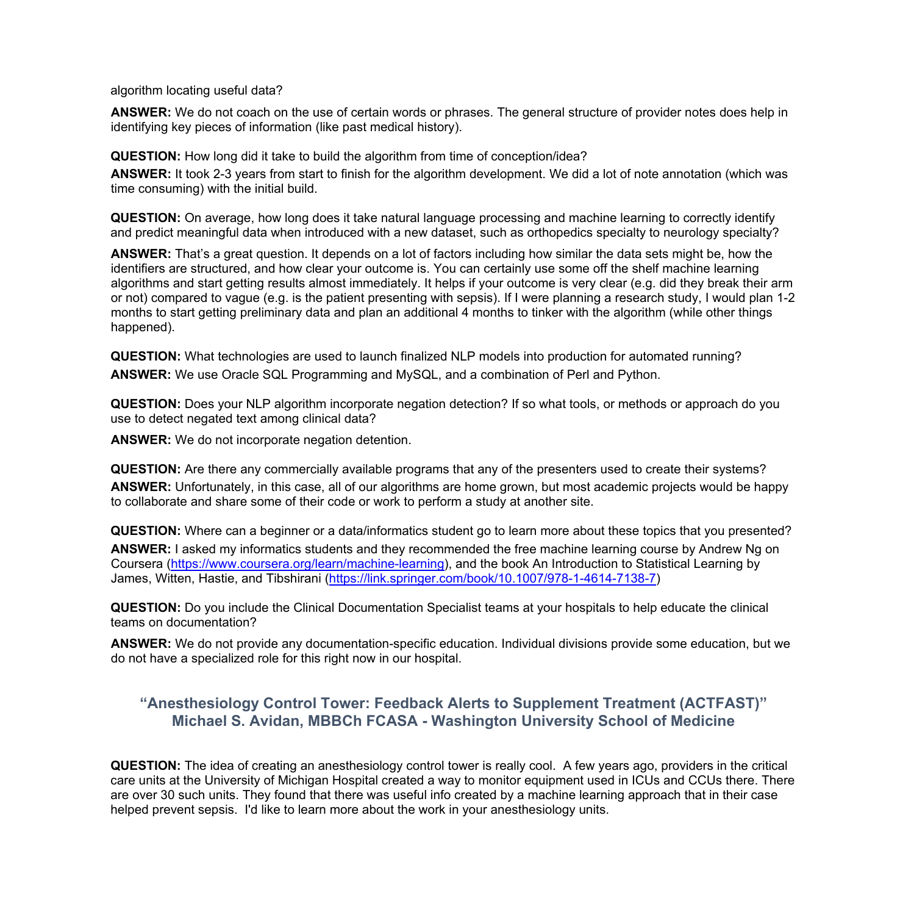algorithm locating useful data?

**ANSWER:** We do not coach on the use of certain words or phrases. The general structure of provider notes does help in identifying key pieces of information (like past medical history).

**QUESTION:** How long did it take to build the algorithm from time of conception/idea?

 time consuming) with the initial build. **ANSWER:** It took 2-3 years from start to finish for the algorithm development. We did a lot of note annotation (which was

**QUESTION:** On average, how long does it take natural language processing and machine learning to correctly identify and predict meaningful data when introduced with a new dataset, such as orthopedics specialty to neurology specialty?

**ANSWER:** That's a great question. It depends on a lot of factors including how similar the data sets might be, how the identifiers are structured, and how clear your outcome is. You can certainly use some off the shelf machine learning algorithms and start getting results almost immediately. It helps if your outcome is very clear (e.g. did they break their arm or not) compared to vague (e.g. is the patient presenting with sepsis). If I were planning a research study, I would plan 1-2 months to start getting preliminary data and plan an additional 4 months to tinker with the algorithm (while other things happened).

**QUESTION:** What technologies are used to launch finalized NLP models into production for automated running? **ANSWER:** We use Oracle SQL Programming and MySQL, and a combination of Perl and Python.

**QUESTION:** Does your NLP algorithm incorporate negation detection? If so what tools, or methods or approach do you use to detect negated text among clinical data?

**ANSWER:** We do not incorporate negation detention.

**QUESTION:** Are there any commercially available programs that any of the presenters used to create their systems? **ANSWER:** Unfortunately, in this case, all of our algorithms are home grown, but most academic projects would be happy to collaborate and share some of their code or work to perform a study at another site.

 James, Witten, Hastie, and Tibshirani (<https://link.springer.com/book/10.1007/978-1-4614-7138-7>) **QUESTION:** Where can a beginner or a data/informatics student go to learn more about these topics that you presented? **ANSWER:** I asked my informatics students and they recommended the free machine learning course by Andrew Ng on Coursera [\(https://www.coursera.org/learn/machine-learning\)](https://www.coursera.org/learn/machine-learning), and the book An Introduction to Statistical Learning by

**QUESTION:** Do you include the Clinical Documentation Specialist teams at your hospitals to help educate the clinical teams on documentation?

**ANSWER:** We do not provide any documentation-specific education. Individual divisions provide some education, but we do not have a specialized role for this right now in our hospital.

## **"Anesthesiology Control Tower: Feedback Alerts to Supplement Treatment (ACTFAST)" Michael S. Avidan, MBBCh FCASA - Washington University School of Medicine**

 **QUESTION:** The idea of creating an anesthesiology control tower is really cool. A few years ago, providers in the critical helped prevent sepsis. I'd like to learn more about the work in your anesthesiology units. care units at the University of Michigan Hospital created a way to monitor equipment used in ICUs and CCUs there. There are over 30 such units. They found that there was useful info created by a machine learning approach that in their case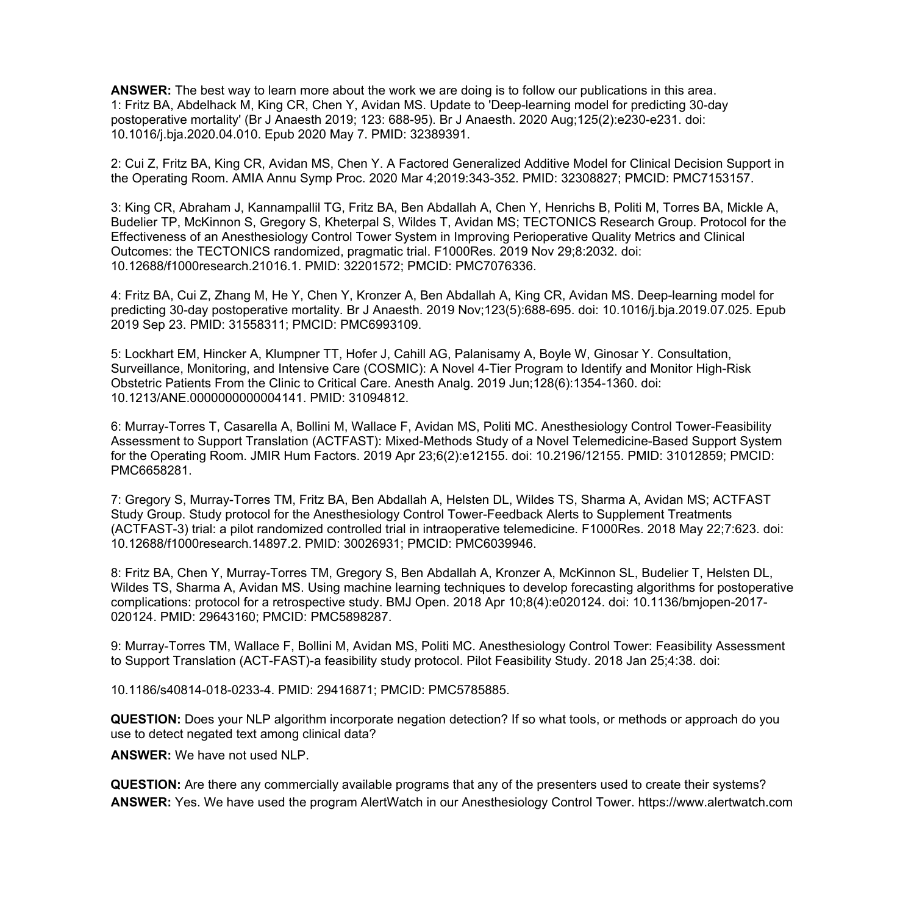**ANSWER:** The best way to learn more about the work we are doing is to follow our publications in this area. 1: Fritz BA, Abdelhack M, King CR, Chen Y, Avidan MS. Update to 'Deep-learning model for predicting 30-day postoperative mortality' (Br J Anaesth 2019; 123: 688-95). Br J Anaesth. 2020 Aug;125(2):e230-e231. doi: 10.1016/j.bja.2020.04.010. Epub 2020 May 7. PMID: 32389391.

2: Cui Z, Fritz BA, King CR, Avidan MS, Chen Y. A Factored Generalized Additive Model for Clinical Decision Support in the Operating Room. AMIA Annu Symp Proc. 2020 Mar 4;2019:343-352. PMID: 32308827; PMCID: PMC7153157.

3: King CR, Abraham J, Kannampallil TG, Fritz BA, Ben Abdallah A, Chen Y, Henrichs B, Politi M, Torres BA, Mickle A, Budelier TP, McKinnon S, Gregory S, Kheterpal S, Wildes T, Avidan MS; TECTONICS Research Group. Protocol for the Effectiveness of an Anesthesiology Control Tower System in Improving Perioperative Quality Metrics and Clinical Outcomes: the TECTONICS randomized, pragmatic trial. F1000Res. 2019 Nov 29;8:2032. doi: 10.12688/f1000research.21016.1. PMID: 32201572; PMCID: PMC7076336.

 4: Fritz BA, Cui Z, Zhang M, He Y, Chen Y, Kronzer A, Ben Abdallah A, King CR, Avidan MS. Deep-learning model for predicting 30-day postoperative mortality. Br J Anaesth. 2019 Nov;123(5):688-695. doi: 10.1016/j.bja.2019.07.025. Epub 2019 Sep 23. PMID: 31558311; PMCID: PMC6993109.

5: Lockhart EM, Hincker A, Klumpner TT, Hofer J, Cahill AG, Palanisamy A, Boyle W, Ginosar Y. Consultation, Surveillance, Monitoring, and Intensive Care (COSMIC): A Novel 4-Tier Program to Identify and Monitor High-Risk Obstetric Patients From the Clinic to Critical Care. Anesth Analg. 2019 Jun;128(6):1354-1360. doi: 10.1213/ANE.0000000000004141. PMID: 31094812.

6: Murray-Torres T, Casarella A, Bollini M, Wallace F, Avidan MS, Politi MC. Anesthesiology Control Tower-Feasibility Assessment to Support Translation (ACTFAST): Mixed-Methods Study of a Novel Telemedicine-Based Support System for the Operating Room. JMIR Hum Factors. 2019 Apr 23;6(2):e12155. doi: 10.2196/12155. PMID: 31012859; PMCID: PMC6658281.

7: Gregory S, Murray-Torres TM, Fritz BA, Ben Abdallah A, Helsten DL, Wildes TS, Sharma A, Avidan MS; ACTFAST Study Group. Study protocol for the Anesthesiology Control Tower-Feedback Alerts to Supplement Treatments (ACTFAST-3) trial: a pilot randomized controlled trial in intraoperative telemedicine. F1000Res. 2018 May 22;7:623. doi: 10.12688/f1000research.14897.2. PMID: 30026931; PMCID: PMC6039946.

8: Fritz BA, Chen Y, Murray-Torres TM, Gregory S, Ben Abdallah A, Kronzer A, McKinnon SL, Budelier T, Helsten DL, Wildes TS, Sharma A, Avidan MS. Using machine learning techniques to develop forecasting algorithms for postoperative complications: protocol for a retrospective study. BMJ Open. 2018 Apr 10;8(4):e020124. doi: 10.1136/bmjopen-2017- 020124. PMID: 29643160; PMCID: PMC5898287.

9: Murray-Torres TM, Wallace F, Bollini M, Avidan MS, Politi MC. Anesthesiology Control Tower: Feasibility Assessment to Support Translation (ACT-FAST)-a feasibility study protocol. Pilot Feasibility Study. 2018 Jan 25;4:38. doi:

10.1186/s40814-018-0233-4. PMID: 29416871; PMCID: PMC5785885.

**QUESTION:** Does your NLP algorithm incorporate negation detection? If so what tools, or methods or approach do you use to detect negated text among clinical data?

 **ANSWER:** We have not used NLP.

 **ANSWER:** Yes. We have used the program AlertWatch in our Anesthesiology Control Tower. [https://www.alertwatch.com](https://www.alertwatch.com/) **QUESTION:** Are there any commercially available programs that any of the presenters used to create their systems?